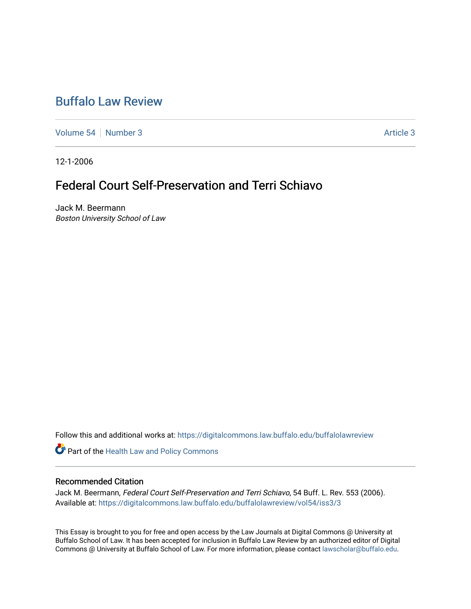## [Buffalo Law Review](https://digitalcommons.law.buffalo.edu/buffalolawreview)

[Volume 54](https://digitalcommons.law.buffalo.edu/buffalolawreview/vol54) [Number 3](https://digitalcommons.law.buffalo.edu/buffalolawreview/vol54/iss3) [Article 3](https://digitalcommons.law.buffalo.edu/buffalolawreview/vol54/iss3/3) Article 3

12-1-2006

# Federal Court Self-Preservation and Terri Schiavo

Jack M. Beermann Boston University School of Law

Follow this and additional works at: [https://digitalcommons.law.buffalo.edu/buffalolawreview](https://digitalcommons.law.buffalo.edu/buffalolawreview?utm_source=digitalcommons.law.buffalo.edu%2Fbuffalolawreview%2Fvol54%2Fiss3%2F3&utm_medium=PDF&utm_campaign=PDFCoverPages) 

Part of the [Health Law and Policy Commons](http://network.bepress.com/hgg/discipline/901?utm_source=digitalcommons.law.buffalo.edu%2Fbuffalolawreview%2Fvol54%2Fiss3%2F3&utm_medium=PDF&utm_campaign=PDFCoverPages) 

### Recommended Citation

Jack M. Beermann, Federal Court Self-Preservation and Terri Schiavo, 54 Buff. L. Rev. 553 (2006). Available at: [https://digitalcommons.law.buffalo.edu/buffalolawreview/vol54/iss3/3](https://digitalcommons.law.buffalo.edu/buffalolawreview/vol54/iss3/3?utm_source=digitalcommons.law.buffalo.edu%2Fbuffalolawreview%2Fvol54%2Fiss3%2F3&utm_medium=PDF&utm_campaign=PDFCoverPages) 

This Essay is brought to you for free and open access by the Law Journals at Digital Commons @ University at Buffalo School of Law. It has been accepted for inclusion in Buffalo Law Review by an authorized editor of Digital Commons @ University at Buffalo School of Law. For more information, please contact [lawscholar@buffalo.edu](mailto:lawscholar@buffalo.edu).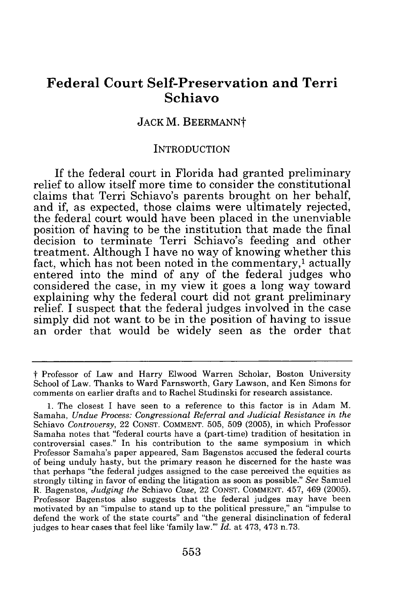## **Federal Court Self-Preservation and Terri Schiavo**

## JACK M. BEERMANNt

#### INTRODUCTION

If the federal court in Florida had granted preliminary relief to allow itself more time to consider the constitutional claims that Terri Schiavo's parents brought on her behalf, and if, as expected, those claims were ultimately rejected, the federal court would have been placed in the unenviable position of having to be the institution that made the final decision to terminate Terri Schiavo's feeding and other treatment. Although I have no way of knowing whether this fact, which has not been noted in the commentary,<sup>1</sup> actually entered into the mind of any of the federal judges who considered the case, in my view it goes a long way toward explaining why the federal court did not grant preliminary relief. I suspect that the federal judges involved in the case simply did not want to be in the position of having to issue an order that would be widely seen as the order that

t Professor of Law and Harry Elwood Warren Scholar, Boston University School of Law. Thanks to Ward Farnsworth, Gary Lawson, and Ken Simons for comments on earlier drafts and to Rachel Studinski for research assistance.

<sup>1.</sup> The closest I have seen to a reference to this factor is in Adam M. Samaha, *Undue Process: Congressional Referral and Judicial Resistance in the* Schiavo *Controversy,* 22 CONST. COMMENT. 505, 509 (2005), in which Professor Samaha notes that "federal courts have a (part-time) tradition of hesitation in controversial cases." In his contribution to the same symposium in which Professor Samaha's paper appeared, Sam Bagenstos accused the federal courts of being unduly hasty, but the primary reason he discerned for the haste was that perhaps "the federal judges assigned to the case perceived the equities as strongly tilting in favor of ending the litigation as soon as possible." *See* Samuel R. Bagenstos, *Judging the* Schiavo *Case,* 22 CONST. COMMENT. 457, 469 (2005). Professor Bagenstos also suggests that the federal judges may have been motivated by an "impulse to stand up to the political pressure," an "impulse to defend the work of the state courts" and "the general disinclination of federal judges to hear cases that feel like 'family law."' *Id.* at 473, 473 n.73.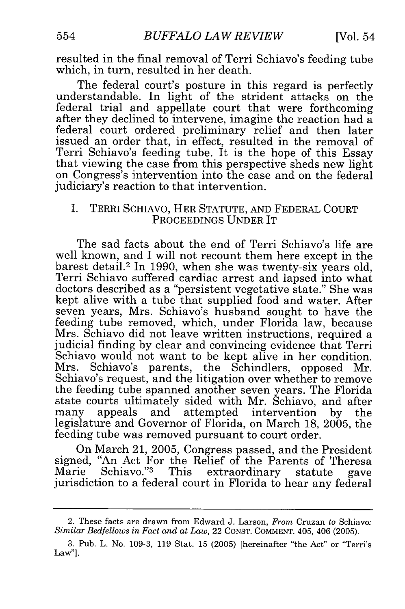resulted in the final removal of Terri Schiavo's feeding tube which, in turn, resulted in her death.

The federal court's posture in this regard is perfectly understandable. In light of the strident attacks on the federal trial and appellate court that were forthcoming after they declined to intervene, imagine the reaction had a federal court ordered preliminary relief and then later issued an order that, in effect, resulted in the removal of Terri Schiavo's feeding tube. It is the hope of this Essay that viewing the case from this perspective sheds new light on Congress's intervention into the case and on the federal judiciary's reaction to that intervention.

#### I. TERRI SCHIAVO, HER STATUTE, AND FEDERAL COURT PROCEEDINGS UNDER IT

The sad facts about the end of Terri Schiavo's life are well known, and I will not recount them here except in the barest detail.2 In 1990, when she was twenty-six years old, Terri Schiavo suffered cardiac arrest and lapsed into what doctors described as a "persistent vegetative state." She was kept alive with a tube that supplied food and water. After seven years, Mrs. Schiavo's husband sought to have the feeding tube removed, which, under Florida law, because Mrs. Schiavo did not leave written instructions, required a judicial finding by clear and convincing evidence that Terri Schiavo would not want to be kept alive in her condition. Mrs. Schiavo's parents, the Schindlers, opposed Mr. Schiavo's request, and the litigation over whether to remove the feeding tube spanned another seven years. The Florida state courts ultimately sided with Mr. Schiavo, and after many appeals and attempted intervention by the legislature and Governor of Florida, on March 18, 2005, the feeding tube was removed pursuant to court order.

On March 21, 2005, Congress passed, and the President signed, "An Act For the Relief of the Parents of Theresa<br>Marie Schiavo."<sup>3</sup> This extraordinary statute gave Marie Schiavo." This extraordinary statute gave<br>jurisdiction to a federal court in Florida to hear any federal

<sup>2.</sup> These facts are drawn from Edward J. Larson, *From* Cruzan to Schiavo: *Similar Bedfellows in Fact and at Law,* 22 CONST. COMMENT. 405, 406 (2005).

<sup>3.</sup> Pub. L. No. 109-3, 119 Stat. 15 (2005) [hereinafter "the Act" or "Terri's Law"].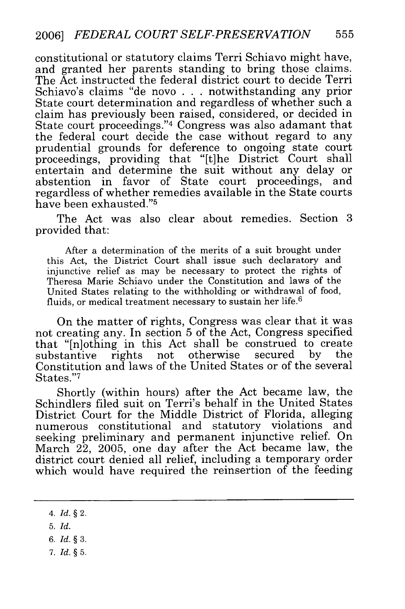constitutional or statutory claims Terri Schiavo might have, and granted her parents standing to bring those claims. The Act instructed the federal district court to decide Terri Schiavo's claims "de novo **. .** . notwithstanding any prior State court determination and regardless of whether such a claim has previously been raised, considered, or decided in State court proceedings."4 Congress was also adamant that the federal court decide the case without regard to any prudential grounds for deference to ongoing state court proceedings, providing that "[t]he District Court shall entertain and determine the suit without any delay or abstention in favor of State court proceedings, and abstention in favor of State court proceedings, regardless of whether remedies available in the State courts have been exhausted."5

The Act was also clear about remedies. Section 3 provided that:

After a determination of the merits of a suit brought under this Act, the District Court shall issue such declaratory and injunctive relief as may be necessary to protect the rights of Theresa Marie Schiavo under the Constitution and laws of the United States relating to the withholding or withdrawal of food, fluids, or medical treatment necessary to sustain her life. $6$ 

On the matter of rights, Congress was clear that it was not creating any. In section 5 of the Act, Congress specified that "[n]othing in this Act shall be construed to create rights not otherwise Constitution and laws of the United States or of the several States."<sup>7</sup>

Shortly (within hours) after the Act became law, the Schindlers filed suit on Terri's behalf in the United States District Court for the Middle District of Florida, alleging numerous constitutional and statutory violations and seeking preliminary and permanent injunctive relief. On March 22, 2005, one day after the Act became law, the district court denied all relief, including a temporary order which would have required the reinsertion of the feeding

- *6. Id. §* 3.
- 7. *Id.* **§** 5.

<sup>4.</sup> *Id.* **§** 2.

<sup>5.</sup> *Id.*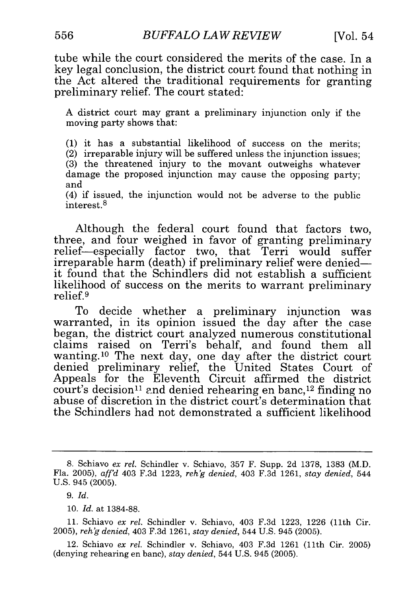tube while the court considered the merits of the case. In a key legal conclusion, the district court found that nothing in the Act altered the traditional requirements for granting preliminary relief. The court stated:

A district court may grant a preliminary injunction only if the moving party shows that:

(1) it has a substantial likelihood of success on the merits;

(2) irreparable injury will be suffered unless the injunction issues;

(3) the threatened injury to the movant outweighs whatever damage the proposed injunction may cause the opposing party; and

(4) if issued, the injunction would not be adverse to the public interest.8

Although the federal court found that factors two, three, and four weighed in favor of granting preliminary relief-especially factor two, that Terri would suffer irreparable harm (death) if preliminary relief were deniedit found that the Schindlers did not establish a sufficient likelihood of success on the merits to warrant preliminary relief. **9**

To decide whether a preliminary injunction was warranted, in its opinion issued the day after the case began, the district court analyzed numerous constitutional claims raised on Terri's behalf, and found them all wanting. 10 The next day, one day after the district court denied preliminary relief, the United States Court of Appeals for the Eleventh Circuit affirmed the district court's decision<sup>11</sup> and denied rehearing en banc,<sup>12</sup> finding no abuse of discretion in the district court's determination that the Schindlers had not demonstrated a sufficient likelihood

<sup>8.</sup> Schiavo *ex rel.* Schindler v. Schiavo, 357 F. Supp. 2d 1378, 1383 (M.D. Fla. 2005), *aff'd* 403 F.3d 1223, *reh'g denied,* 403 F.3d 1261, *stay denied,* 544 U.S. 945 (2005).

*<sup>9.</sup> Id.*

<sup>10.</sup> *Id.* at 1384-88.

<sup>11.</sup> Schiavo *ex rel.* Schindler v. Schiavo, 403 F.3d 1223, 1226 (11th Cir. 2005), *reh'g denied,* 403 F.3d 1261, *stay denied,* 544 U.S. 945 (2005).

<sup>12.</sup> Schiavo *ex rel.* Schindler v. Schiavo, 403 F.3d 1261 (11th Cir. 2005) (denying rehearing en banc), *stay denied,* 544 U.S. 945 (2005).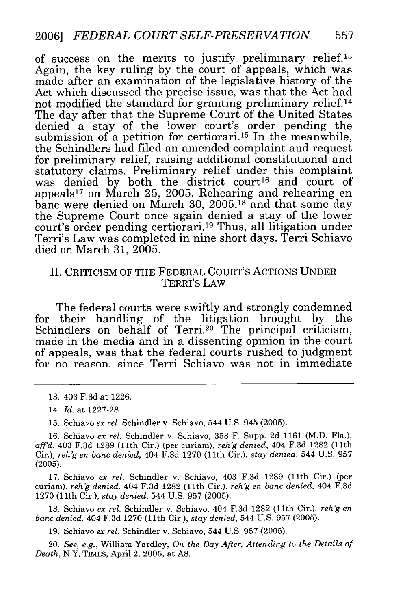of success on the merits to justify preliminary relief.13 Again, the key ruling by the court of appeals, which was made after an examination of the legislative history of the Act which discussed the precise issue, was that the Act had not modified the standard for granting preliminary relief.14 The day after that the Supreme Court of the United States denied a stay of the lower court's order pending the submission of a petition for certiorari.<sup>15</sup> In the meanwhile, the Schindlers had filed an amended complaint and request for preliminary relief, raising additional constitutional and statutory claims. Preliminary relief under this complaint was denied by both the district court<sup>16</sup> and court of appeals 17 on March 25, 2005. Rehearing and rehearing en banc were denied on March 30, 2005,<sup>18</sup> and that same day the Supreme Court once again denied a stay of the lower court's order pending certiorari.<sup>19</sup> Thus, all litigation under Terri's Law was completed in nine short days. Terri Schiavo died on March 31, 2005.

### II. CRITICISM OF THE FEDERAL COURT'S ACTIONS UNDER TERRI'S LAW

The federal courts were swiftly and strongly condemned for their handling of the litigation brought by the Schindlers on behalf of Terri.<sup>20</sup> The principal criticism made in the media and in a dissenting opinion in the court of appeals, was that the federal courts rushed to judgment for no reason, since Terri Schiavo was not in immediate

15. Schiavo *ex rel.* Schindler v. Schiavo, 544 U.S. 945 (2005).

16. Schiavo *ex rel.* Schindler v. Schiavo, 358 F. Supp. 2d 1161 (M.D. Fla.), *aff'd,* 403 F.3d 1289 (lth Cir.) (per curiam), *reh'g denied,* 404 F.3d 1282 (11th Cir.), *reh'g en banc denied,* 404 F.3d 1270 (11th Cir.), *stay denied,* 544 U.S. 957 (2005).

17. Schiavo *ex rel.* Schindler v. Schiavo, 403 F.3d 1289 (11th Cir.) (per curiam), *reh'g denied,* 404 F.3d 1282 (11th Cir.), *reh'g en banc denied,* 404 F.3d 1270 (11th Cir.), *stay denied,* 544 U.S. 957 (2005).

18. Schiavo *ex rel.* Schindler v. Schiavo, 404 F.3d 1282 (11th Cir.), *reh'g en banc denied,* 404 F.3d 1270 (11th Cir.), *stay denied,* 544 U.S. 957 (2005).

19. Schiavo *ex rel.* Schindler v. Schiavo, 544 U.S. 957 (2005).

20. *See, e.g.,* William Yardley, *On the Day After, Attending to the Details of Death,* N.Y. TIMES, April 2, 2005, at A8.

<sup>13. 403</sup> F.3d at 1226.

<sup>14.</sup> *Id.* at 1227-28.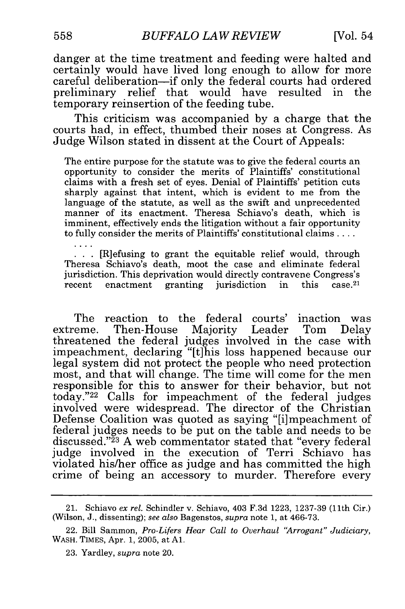danger at the time treatment and feeding were halted and certainly would have lived long enough to allow for more careful deliberation-if only the federal courts had ordered preliminary relief that would have resulted in the temporary reinsertion of the feeding tube.

This criticism was accompanied by a charge that the courts had, in effect, thumbed their noses at Congress. As Judge Wilson stated in dissent at the Court of Appeals:

The entire purpose for the statute was to give the federal courts an opportunity to consider the merits of Plaintiffs' constitutional claims with a fresh set of eyes. Denial of Plaintiffs' petition cuts sharply against that intent, which is evident to me from the language of the statute, as well as the swift and unprecedented manner of its enactment. Theresa Schiavo's death, which is imminent, effectively ends the litigation without a fair opportunity to fully consider the merits of Plaintiffs' constitutional claims **....**

**..** [R]efusing to grant the equitable relief would, through Theresa Schiavo's death, moot the case and eliminate federal jurisdiction. This deprivation would directly contravene Congress's recent enactment granting jurisdiction in this case.<sup>21</sup>

The reaction to the federal courts' inaction was extreme. Then-House Majority Leader Tom Delay threatened the federal judges involved in the case with impeachment, declaring "[t]his loss happened because our legal system did not protect the people who need protection most, and that will change. The time will come for the men responsible for this to answer for their behavior, but not today."<sup>22</sup> Calls for impeachment of the federal judges involved were widespread. The director of the Christian Defense Coalition was quoted as saying "[i]mpeachment of federal judges needs to be put on the table and needs to be discussed."<sup>23</sup> A web commentator stated that "every federal judge involved in the execution of Terri Schiavo has violated his/her office as judge and has committed the high crime of being an accessory to murder. Therefore every

<sup>21.</sup> Schiavo *ex rel.* Schindler v. Schiavo, 403 F.3d 1223, 1237-39 (11th Cir.) (Wilson, J., dissenting); *see also* Bagenstos, *supra* note 1, at 466-73.

<sup>22.</sup> Bill Sammon, *Pro-Lifers Hear Call to Overhaul 'Arrogant" Judiciary,* WASH. TIMES, Apr. 1, 2005, at **Al.**

<sup>23.</sup> Yardley, *supra* note 20.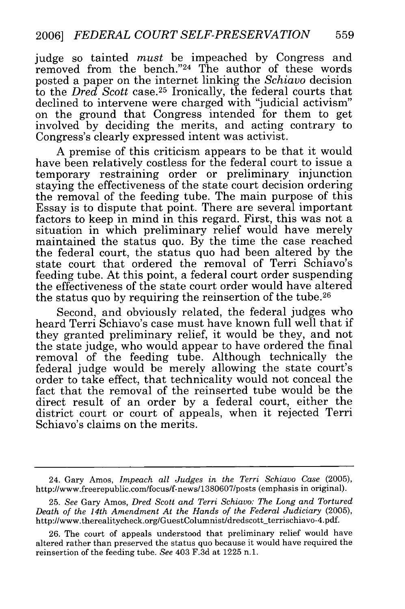judge so tainted *must* be impeached by Congress and removed from the bench."24 The author of these words posted a paper on the internet linking the *Schiavo* decision to the *Dred Scott* case.<sup>25</sup> Ironically, the federal courts that declined to intervene were charged with "judicial activism" on the ground that Congress intended for them to get involved by deciding the merits, and acting contrary to Congress's clearly expressed intent was activist.

A premise of this criticism appears to be that it would have been relatively costless for the federal court to issue a temporary restraining order or preliminary injunction staying the effectiveness of the state court decision ordering the removal of the feeding tube. The main purpose of this Essay is to dispute that point. There are several important factors to keep in mind in this regard. First, this was not a situation in which preliminary relief would have merely maintained the status quo. By the time the case reached the federal court, the status quo had been altered by the state court that ordered the removal of Terri Schiavo's feeding tube. At this point, a federal court order suspending the effectiveness of the state court order would have altered the status quo by requiring the reinsertion of the tube. <sup>26</sup>

Second, and obviously related, the federal judges who heard Terri Schiavo's case must have known full well that if they granted preliminary relief, it would be they, and not the state judge, who would appear to have ordered the final removal of the feeding tube. Although technically the federal judge would be merely allowing the state court's order to take effect, that technicality would not conceal the fact that the removal of the reinserted tube would be the direct result of an order by a federal court, either the district court or court of appeals, when it rejected Terri Schiavo's claims on the merits.

<sup>24.</sup> Gary Amos, *Impeach all Judges in the Terri Schiavo Case* (2005), http://www.freerepublic.com/focus/f-news/1380607/posts (emphasis in original).

<sup>25.</sup> *See* Gary Amos, *Dred Scott and Terri Schiavo: The Long and Tortured Death of the 14th Amendment At the Hands of the Federal Judiciary* (2005), http://www.therealitycheck.org/GuestColumnist/dredscott-terrischiavo-4.pdf.

<sup>26.</sup> The court of appeals understood that preliminary relief would have altered rather than preserved the status quo because it would have required the reinsertion of the feeding tube. *See* 403 F.3d at 1225 n.1.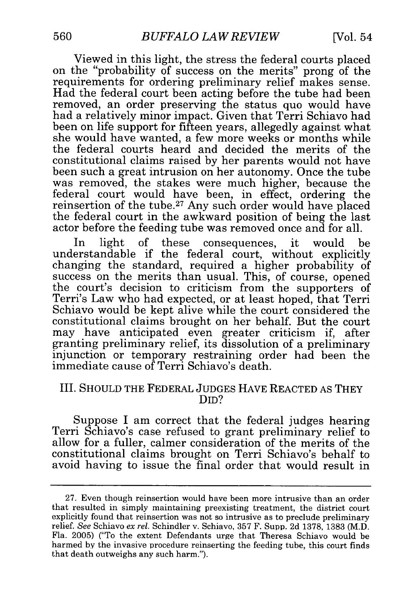Viewed in this light, the stress the federal courts placed on the "probability of success on the merits" prong of the requirements for ordering preliminary relief makes sense. Had the federal court been acting before the tube had been removed, an order preserving the status quo would have had a relatively minor impact. Given that Terri Schiavo had been on life support for fifteen years, allegedly against what she would have wanted, a few more weeks or months while the federal courts heard and decided the merits of the constitutional claims raised by her parents would not have been such a great intrusion on her autonomy. Once the tube was removed, the stakes were much higher, because the federal court would have been, in effect, ordering the reinsertion of the tube.27 Any such order would have placed the federal court in the awkward position of being the last actor before the feeding tube was removed once and for all.

In light of these consequences, it would be understandable if the federal court, without explicitly changing the standard, required a higher probability of success on the merits than usual. This, of course, opened the court's decision to criticism from the supporters of Terri's Law who had expected, or at least hoped, that Terri Schiavo would be kept alive while the court considered the constitutional claims brought on her behalf. But the court may have anticipated even greater criticism if, after granting preliminary relief, its dissolution of a preliminary injunction or temporary restraining order had been the immediate cause of Terri Schiavo's death.

#### III. SHOULD THE FEDERAL JUDGES HAVE REACTED AS THEY DID?

Suppose I am correct that the federal judges hearing Terri Schiavo's case refused to grant preliminary relief to allow for a fuller, calmer consideration of the merits of the constitutional claims brought on Terri Schiavo's behalf to avoid having to issue the final order that would result in

<sup>27.</sup> Even though reinsertion would have been more intrusive than an order that resulted in simply maintaining preexisting treatment, the district court explicitly found that reinsertion was not so intrusive as to preclude preliminary relief. *See* Schiavo *ex rel.* Schindler v. Schiavo, 357 F. Supp. 2d 1378, 1383 (M.D. Fla. 2005) ("To the extent Defendants urge that Theresa Schiavo would be harmed by the invasive procedure reinserting the feeding tube, this court finds that death outweighs any such harm.").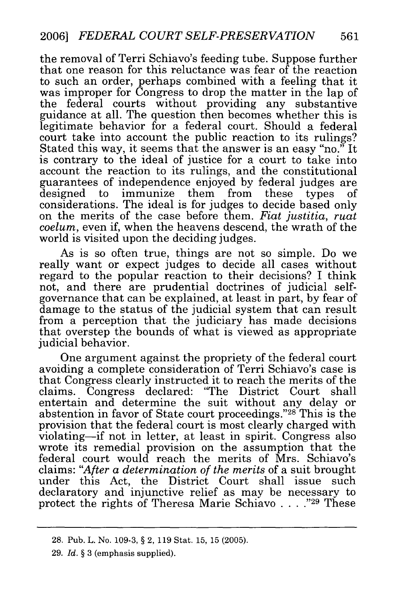the removal of Terri Schiavo's feeding tube. Suppose further that one reason for this reluctance was fear of the reaction to such an order, perhaps combined with a feeling that it was improper for Congress to drop the matter in the lap of the federal courts without providing any substantive guidance at all. The question then becomes whether this is legitimate behavior for a federal court. Should a federal court take into account the public reaction to its rulings? Stated this way, it seems that the answer is an easy "no." It is contrary to the ideal of justice for a court to take into account the reaction to its rulings, and the constitutional guarantees of independence enjoyed by federal judges are designed to immunize them from these types of considerations. The ideal is for judges to decide based only on the merits of the case before them. *Fiat justitia, ruat coelum,* even if, when the heavens descend, the wrath of the world is visited upon the deciding judges.

As is so often true, things are not so simple. Do we really want or expect judges to decide all cases without regard to the popular reaction to their decisions? I think not, and there are prudential doctrines of judicial selfgovernance that can be explained, at least in part, by fear of damage to the status of the judicial system that can result from a perception that the judiciary has made decisions that overstep the bounds of what is viewed as appropriate judicial behavior.

One argument against the propriety of the federal court avoiding a complete consideration of Terri Schiavo's case is that Congress clearly instructed it to reach the merits of the claims. Congress declared: "The District Court shall entertain and determine the suit without any delay or abstention in favor of State court proceedings."28 This is the provision that the federal court is most clearly charged with violating-if not in letter, at least in spirit. Congress also wrote its remedial provision on the assumption that the federal court would reach the merits of Mrs. Schiavo's claims: *"After a determination of the merits* of a suit brought under this Act, the District Court shall issue such declaratory and injunctive relief as may be necessary to protect the rights of Theresa Marie Schiavo . . . . "29 These

<sup>28.</sup> Pub. L. No. 109-3, § 2, 119 Stat. 15, 15 (2005).

<sup>29.</sup> *Id.* § 3 (emphasis supplied).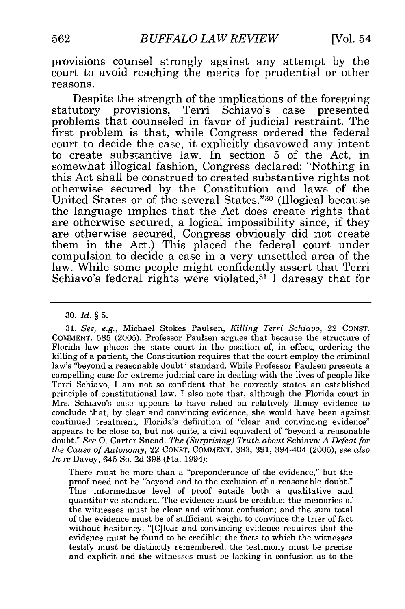provisions counsel strongly against any attempt by the court to avoid reaching the merits for prudential or other reasons.

Despite the strength of the implications of the foregoing statutory provisions, Terri Schiavo's case presented problems that counseled in favor of judicial restraint. The first problem is that, while Congress ordered the federal court to decide the case, it explicitly disavowed any intent to create substantive law. In section 5 of the Act, in somewhat illogical fashion, Congress declared: "Nothing in this Act shall be construed to created substantive rights not otherwise secured by the Constitution and laws of the United States or of the several States."<sup>30</sup> (Illogical because the language implies that the Act does create rights that are otherwise secured, a logical impossibility since, if they are otherwise secured, Congress obviously did not create them in the Act.) This placed the federal court under compulsion to decide a case in a very unsettled area of the law. While some people might confidently assert that Terri Schiavo's federal rights were violated,<sup>31</sup> I daresay that for

31. *See, e.g.,* Michael Stokes Paulsen, *Killing* Terri *Schiavo,* 22 CONST. COMMENT. 585 (2005). Professor Paulsen argues that because the structure of Florida law places the state court in the position of, in effect, ordering the killing of a patient, the Constitution requires that the court employ the criminal law's "beyond a reasonable doubt" standard. While Professor Paulsen presents a compelling case for extreme judicial care in dealing with the lives of people like Terri Schiavo, I am not so confident that he correctly states an established principle of constitutional law. I also note that, although the Florida court in Mrs. Schiavo's case appears to have relied on relatively flimsy evidence to conclude that, by clear and convincing evidence, she would have been against continued treatment, Florida's definition of "clear and convincing evidence" appears to be close to, but not quite, a civil equivalent of "beyond a reasonable doubt." *See* 0. Carter Snead, *The (Surprising) Truth about* Schiavo: *A Defeat for the Cause of Autonomy,* 22 CONST. COMMENT. 383, 391, 394-404 (2005); *see also In re* Davey, 645 So. 2d 398 (Fla. 1994):

There must be more than a "preponderance of the evidence," but the proof need not be "beyond and to the exclusion of a reasonable doubt." This intermediate level of proof entails both a qualitative and quantitative standard. The evidence must be credible; the memories of the witnesses must be clear and without confusion; and the sum total of the evidence must be of sufficient weight to convince the trier of fact without hesitancy. "[C]lear and convincing evidence requires that the evidence must be found to be credible; the facts to which the witnesses testify must be distinctly remembered; the testimony must be precise and explicit and the witnesses must be lacking in confusion as to the

<sup>30.</sup> *Id. §* 5.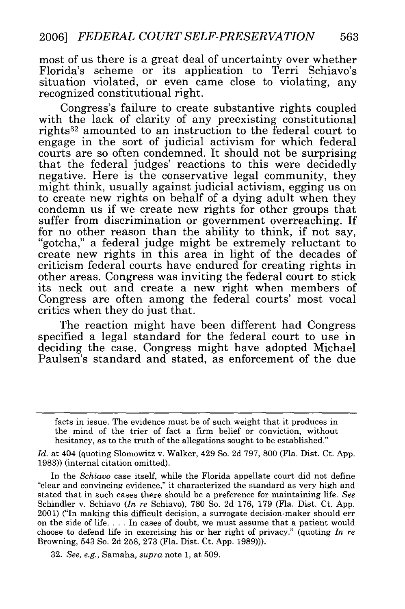most of us there is a great deal of uncertainty over whether Florida's scheme or its application to Terri Schiavo's situation violated, or even came close to violating, any recognized constitutional right.

Congress's failure to create substantive rights coupled with the lack of clarity of any preexisting constitutional rights 32 amounted to an instruction to the federal court to engage in the sort of judicial activism for which federal courts are so often condemned. It should not be surprising that the federal judges' reactions to this were decidedly negative. Here is the conservative legal community, they might think, usually against judicial activism, egging us on to create new rights on behalf of a dying adult when they condemn us if we create new rights for other groups that suffer from discrimination or government overreaching. If for no other reason than the ability to think, if not say, "gotcha," a federal judge might be extremely reluctant to create new rights in this area in light of the decades of criticism federal courts have endured for creating rights in other areas. Congress was inviting the federal court to stick its neck out and create a new right when members of Congress are often among the federal courts' most vocal critics when they do just that.

The reaction might have been different had Congress specified a legal standard for the federal court to use in deciding the case. Congress might have adopted Michael Paulsen's standard and stated, as enforcement of the due

In the *Schiavo* case itself, while the Florida appellate court did not define "clear and convincing evidence," it characterized the standard as very high and stated that in such cases there should be a preference for maintaining life. *See* Schindler v. Schiavo *(In re* Schiavo), 780 So. 2d 176, 179 (Fla. Dist. Ct. App. 2001) ("In making this difficult decision, a surrogate decision-maker should err on the side of life **....** In cases of doubt, we must assume that a patient would choose to defend life in exercising his or her right of privacy." (quoting *In re* Browning, 543 So. 2d 258, 273 (Fla. Dist. Ct. App. 1989))).

32. *See, e.g.,* Samaha, *supra* note 1, at 509.

facts in issue. The evidence must be of such weight that it produces in the mind of the trier of fact a firm belief or conviction, without hesitancy, as to the truth of the allegations sought to be established."

*Id.* at 404 (quoting Slomowitz v. Walker, 429 So. 2d 797, 800 (Fla. Dist. Ct. App. 1983)) (internal citation omitted).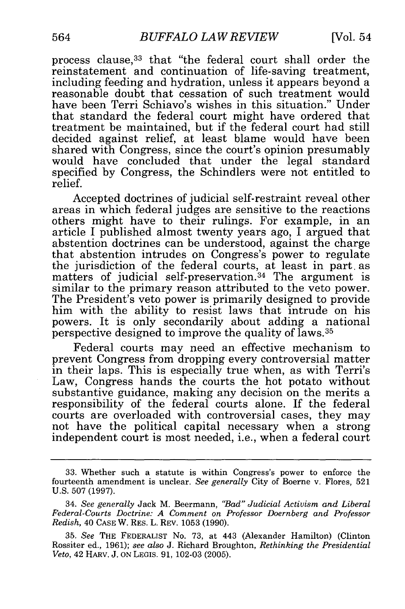process clause, 33 that "the federal court shall order the reinstatement and continuation of life-saving treatment, including feeding and hydration, unless it appears beyond a reasonable doubt that cessation of such treatment would have been Terri Schiavo's wishes in this situation." Under that standard the federal court might have ordered that treatment be maintained, but if the federal court had still decided against relief, at least blame would have been shared with Congress, since the court's opinion presumably would have concluded that under the legal standard specified by Congress, the Schindlers were not entitled to relief.

Accepted doctrines of judicial self-restraint reveal other areas in which federal judges are sensitive to the reactions others might have to their rulings. For example, in an article I published almost twenty years ago, I argued that abstention doctrines can be understood, against the charge that abstention intrudes on Congress's power to regulate the jurisdiction of the federal courts, at least in part. as matters of judicial self-preservation.<sup>34</sup> The argument is similar to the primary reason attributed to the veto power. The President's veto power is primarily designed to provide him with the ability to resist laws that intrude on his powers. It is only secondarily about adding a national perspective designed to improve the quality of laws.35

Federal courts may need an effective mechanism to prevent Congress from dropping every controversial matter in their laps. This is especially true when, as with Terri's Law, Congress hands the courts the hot potato without substantive guidance, making any decision on the merits a responsibility of the federal courts alone. If the federal courts are overloaded with controversial cases, they may not have the political capital necessary when a strong independent court is most needed, i.e., when a federal court

<sup>33.</sup> Whether such a statute is within Congress's power to enforce the fourteenth amendment is unclear. *See generally* City of Boerne v. Flores, 521 U.S. 507 (1997).

<sup>34.</sup> *See generally* Jack M. Beermann, *"Bad" Judicial Activism and Liberal Federal-Courts Doctrine: A Comment on Professor Doernberg and Professor Redish,* 40 CASE W. RES. L. REV. 1053 (1990).

<sup>35.</sup> *See* THE FEDERALIST No. 73, at 443 (Alexander Hamilton) (Clinton Rossiter ed., 1961); *see also* J. Richard Broughton, *Rethinking the Presidential Veto,* 42 HARv. J. ON LEGIS. 91, 102-03 (2005).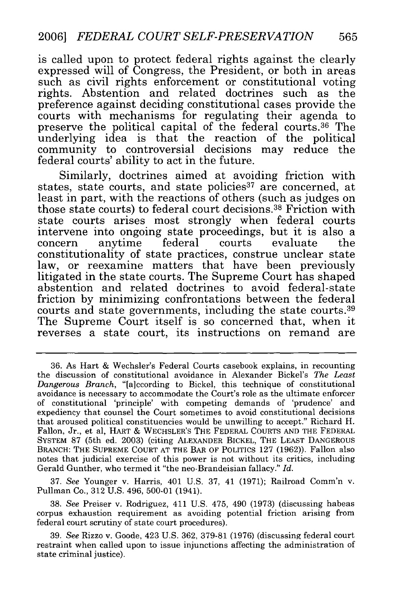is called upon to protect federal rights against the clearly expressed will of Congress, the President, or both in areas such as civil rights enforcement or constitutional voting rights. Abstention and related doctrines such as the preference against deciding constitutional cases provide the courts with mechanisms for regulating their agenda to preserve the political capital of the federal courts. 36 The underlying idea is that the reaction of the political community to controversial decisions may reduce the federal courts' ability to act in the future.

Similarly, doctrines aimed at avoiding friction with states, state courts, and state policies<sup>37</sup> are concerned, at least in part, with the reactions of others (such as judges on those state courts) to federal court decisions.<sup>38</sup> Friction with state courts arises most strongly when federal courts intervene into ongoing state proceedings, but it is also a concern anytime federal courts evaluate the constitutionality of state practices, construe unclear state law, or reexamine matters that have been previously litigated in the state courts. The Supreme Court has shaped abstention and related doctrines to avoid federal-state friction by minimizing confrontations between the federal courts and state governments, including the state courts.<sup>39</sup> The Supreme Court itself is so concerned that, when it reverses a state court, its instructions on remand are

37. See Younger v. Harris, 401 U.S. 37, 41 (1971); Railroad Comm'n v. Pullman Co., 312 U.S. 496, 500-01 (1941).

38. *See* Preiser v. Rodriguez, 411 U.S. 475, 490 (1973) (discussing habeas corpus exhaustion requirement as avoiding potential friction arising from federal court scrutiny of state court procedures).

39. *See* Rizzo v. Goode, 423 U.S. 362, 379-81 (1976) (discussing federal court restraint when called upon to issue injunctions affecting the administration of state criminal justice).

<sup>36.</sup> As Hart & Wechsler's Federal Courts casebook explains, in recounting the discussion of constitutional avoidance in Alexander Bickel's *The Least Dangerous Branch,* "[a]ccording to Bickel, this technique of constitutional avoidance is necessary to accommodate the Court's role as the ultimate enforcer of constitutional 'principle' with competing demands of 'prudence' and expediency that counsel the Court sometimes to avoid constitutional decisions that aroused political constituencies would be unwilling to accept." Richard H. Fallon, Jr., et al, HART & WECHSLER'S THE FEDERAL COURTS AND THE FEDERAL SYSTEM 87 (5th ed. 2003) (citing ALEXANDER BICKEL, THE LEAST DANGEROUS BRANCH: THE SUPREME COURT AT THE BAR OF POLITICS 127 (1962)). Fallon also notes that judicial exercise of this power is not without its critics, including Gerald Gunther, who termed it "the neo-Brandeisian fallacy." *Id.*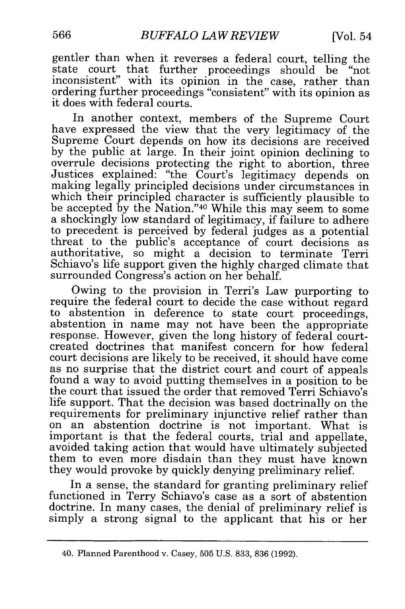gentler than when it reverses a federal court, telling the state court that further proceedings should be "not inconsistent" with its opinion in the case, rather than ordering further proceedings "consistent" with its opinion as it does with federal courts.

In another context, members of the Supreme Court have expressed the view that the very legitimacy of the Supreme Court depends on how its decisions are received by the public at large. In their joint opinion declining to overrule decisions protecting the right to abortion, three Justices explained: "the Court's legitimacy depends on making legally principled decisions under circumstances in which their principled character is sufficiently plausible to be accepted by the Nation."40 While this may seem to some a shockingly low standard of legitimacy, if failure to adhere to precedent is perceived by federal judges as a potential threat to the public's acceptance of court decisions as authoritative, so might a decision to terminate Terri Schiavo's life support given the highly charged climate that surrounded Congress's action on her behalf.

Owing to the provision in Terri's Law purporting to require the federal court to decide the case without regard to abstention in deference to state court proceedings, abstention in name may not have been the appropriate response. However, given the long history of federal courtcreated doctrines that manifest concern for how federal court decisions are likely to be received, it should have come as no surprise that the district court and court of appeals found a way to avoid putting themselves in a position to be the court that issued the order that removed Terri Schiavo's life support. That the decision was based doctrinally on the requirements for preliminary injunctive relief rather than on an abstention doctrine is not important. What is important is that the federal courts, trial and appellate, avoided taking action that would have ultimately subjected them to even more disdain than they must have known they would provoke by quickly denying preliminary relief.

In a sense, the standard for granting preliminary relief functioned in Terry Schiavo's case as a sort of abstention doctrine. In many cases, the denial of preliminary relief is simply a strong signal to the applicant that his or her

<sup>40.</sup> Planned Parenthood v. Casey, 505 U.S. 833, 836 (1992).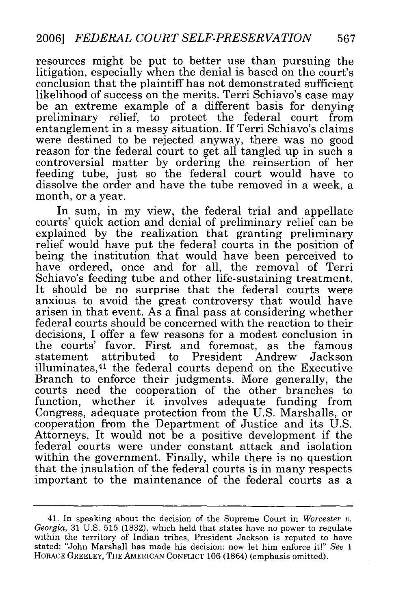resources might be put to better use than pursuing the litigation, especially when the denial is based on the court's conclusion that the plaintiff has not demonstrated sufficient likelihood of success on the merits. Terri Schiavo's case may be an extreme example of a different basis for denying preliminary relief, to protect the federal court from entanglement in a messy situation. If Terri Schiavo's claims were destined to be rejected anyway, there was no good reason for the federal court to get all tangled up in such a controversial matter by ordering the reinsertion of her feeding tube, just so the federal court would have to dissolve the order and have the tube removed in a week, a month, or a year.

In sum, in my view, the federal trial and appellate courts' quick action and denial of preliminary relief can be explained by the realization that granting preliminary relief would have put the federal courts in the position of being the institution that would have been perceived to have ordered, once and for all, the removal of Terri Schiavo's feeding tube and other life-sustaining treatment. It should be no surprise that the federal courts were anxious to avoid the great controversy that would have arisen in that event. As a final pass at considering whether federal courts should be concerned with the reaction to their decisions, I offer a few reasons for a modest conclusion in the courts' favor. First and foremost, as the famous statement attributed to President Andrew Jackson illuminates, 41 the federal courts depend on the Executive Branch to enforce their judgments. More generally, the courts need the cooperation of the other branches to function, whether it involves adequate funding from Congress, adequate protection from the U.S. Marshalls, or cooperation from the Department of Justice and its U.S. Attorneys. It would not be a positive development if the federal courts were under constant attack and isolation within the government. Finally, while there is no question that the insulation of the federal courts is in many respects important to the maintenance of the federal courts as a

<sup>41.</sup> In speaking about the decision of the Supreme Court in *Worcester v. Georgia,* 31 U.S. 515 (1832), which held that states have no power to regulate within the territory of Indian tribes, President Jackson is reputed to have stated: "John Marshall has made his decision: now let him enforce it!" *See 1* HORACE GREELEY, THE AMERICAN CONFLICT 106 (1864) (emphasis omitted).